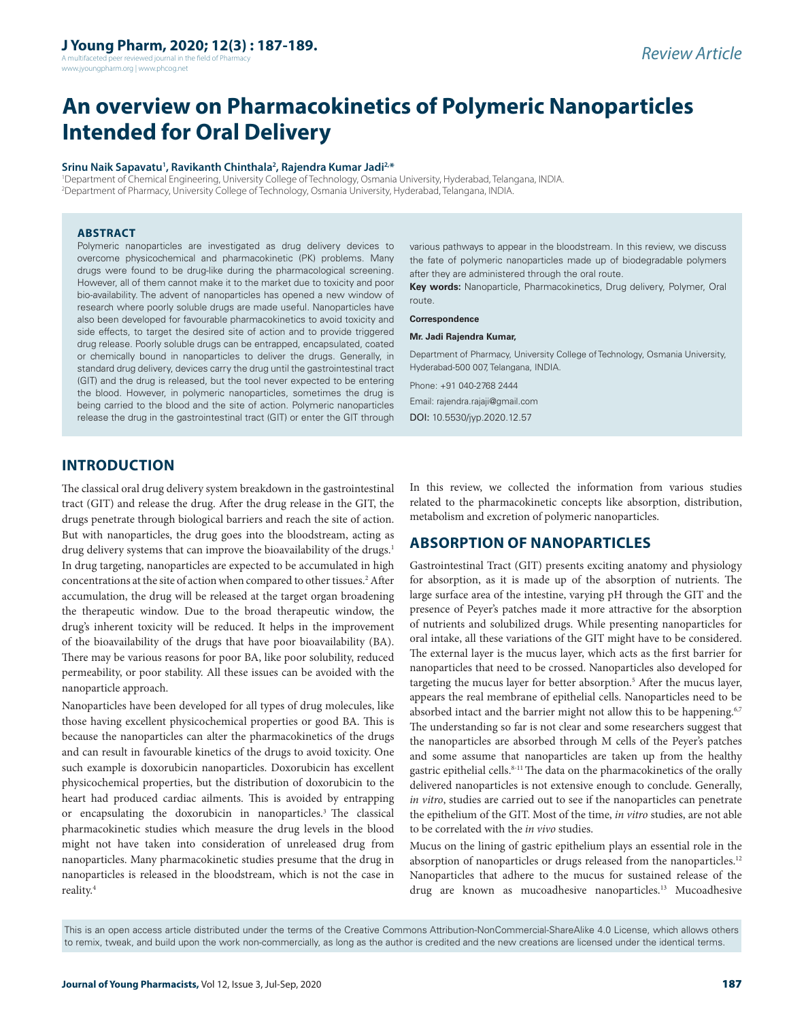A multifaceted peer reviewed journal in the field of Pharmacy www.jyoungpharm.org | www.phcog.net

# **An overview on Pharmacokinetics of Polymeric Nanoparticles Intended for Oral Delivery**

#### Srinu Naik Sapavatu<sup>1</sup>, Ravikanth Chinthala<sup>2</sup>, Rajendra Kumar Jadi<sup>2,\*</sup>

1 Department of Chemical Engineering, University College of Technology, Osmania University, Hyderabad, Telangana, INDIA. 2 Department of Pharmacy, University College of Technology, Osmania University, Hyderabad, Telangana, INDIA.

#### **ABSTRACT**

Polymeric nanoparticles are investigated as drug delivery devices to overcome physicochemical and pharmacokinetic (PK) problems. Many drugs were found to be drug-like during the pharmacological screening. However, all of them cannot make it to the market due to toxicity and poor bio-availability. The advent of nanoparticles has opened a new window of research where poorly soluble drugs are made useful. Nanoparticles have also been developed for favourable pharmacokinetics to avoid toxicity and side effects, to target the desired site of action and to provide triggered drug release. Poorly soluble drugs can be entrapped, encapsulated, coated or chemically bound in nanoparticles to deliver the drugs. Generally, in standard drug delivery, devices carry the drug until the gastrointestinal tract (GIT) and the drug is released, but the tool never expected to be entering the blood. However, in polymeric nanoparticles, sometimes the drug is being carried to the blood and the site of action. Polymeric nanoparticles release the drug in the gastrointestinal tract (GIT) or enter the GIT through

various pathways to appear in the bloodstream. In this review, we discuss the fate of polymeric nanoparticles made up of biodegradable polymers after they are administered through the oral route.

**Key words:** Nanoparticle, Pharmacokinetics, Drug delivery, Polymer, Oral route.

#### **Correspondence**

#### **Mr. Jadi Rajendra Kumar,**

Department of Pharmacy, University College of Technology, Osmania University, Hyderabad-500 007, Telangana, INDIA.

Phone: +91 040-2768 2444

Email: rajendra.rajaji@gmail.com DOI: 10.5530/jyp.2020.12.57

# **INTRODUCTION**

The classical oral drug delivery system breakdown in the gastrointestinal tract (GIT) and release the drug. After the drug release in the GIT, the drugs penetrate through biological barriers and reach the site of action. But with nanoparticles, the drug goes into the bloodstream, acting as drug delivery systems that can improve the bioavailability of the drugs.<sup>1</sup> In drug targeting, nanoparticles are expected to be accumulated in high concentrations at the site of action when compared to other tissues.<sup>2</sup> After accumulation, the drug will be released at the target organ broadening the therapeutic window. Due to the broad therapeutic window, the drug's inherent toxicity will be reduced. It helps in the improvement of the bioavailability of the drugs that have poor bioavailability (BA). There may be various reasons for poor BA, like poor solubility, reduced permeability, or poor stability. All these issues can be avoided with the nanoparticle approach.

Nanoparticles have been developed for all types of drug molecules, like those having excellent physicochemical properties or good BA. This is because the nanoparticles can alter the pharmacokinetics of the drugs and can result in favourable kinetics of the drugs to avoid toxicity. One such example is doxorubicin nanoparticles. Doxorubicin has excellent physicochemical properties, but the distribution of doxorubicin to the heart had produced cardiac ailments. This is avoided by entrapping or encapsulating the doxorubicin in nanoparticles.<sup>3</sup> The classical pharmacokinetic studies which measure the drug levels in the blood might not have taken into consideration of unreleased drug from nanoparticles. Many pharmacokinetic studies presume that the drug in nanoparticles is released in the bloodstream, which is not the case in reality.4

In this review, we collected the information from various studies related to the pharmacokinetic concepts like absorption, distribution, metabolism and excretion of polymeric nanoparticles.

# **ABSORPTION OF NANOPARTICLES**

Gastrointestinal Tract (GIT) presents exciting anatomy and physiology for absorption, as it is made up of the absorption of nutrients. The large surface area of the intestine, varying pH through the GIT and the presence of Peyer's patches made it more attractive for the absorption of nutrients and solubilized drugs. While presenting nanoparticles for oral intake, all these variations of the GIT might have to be considered. The external layer is the mucus layer, which acts as the first barrier for nanoparticles that need to be crossed. Nanoparticles also developed for targeting the mucus layer for better absorption.<sup>5</sup> After the mucus layer, appears the real membrane of epithelial cells. Nanoparticles need to be absorbed intact and the barrier might not allow this to be happening.<sup>6,7</sup> The understanding so far is not clear and some researchers suggest that the nanoparticles are absorbed through M cells of the Peyer's patches and some assume that nanoparticles are taken up from the healthy gastric epithelial cells.<sup>8-11</sup> The data on the pharmacokinetics of the orally delivered nanoparticles is not extensive enough to conclude. Generally, *in vitro*, studies are carried out to see if the nanoparticles can penetrate the epithelium of the GIT. Most of the time, *in vitro* studies, are not able to be correlated with the *in vivo* studies.

Mucus on the lining of gastric epithelium plays an essential role in the absorption of nanoparticles or drugs released from the nanoparticles.<sup>12</sup> Nanoparticles that adhere to the mucus for sustained release of the drug are known as mucoadhesive nanoparticles.<sup>13</sup> Mucoadhesive

This is an open access article distributed under the terms of the Creative Commons Attribution-NonCommercial-ShareAlike 4.0 License, which allows others to remix, tweak, and build upon the work non-commercially, as long as the author is credited and the new creations are licensed under the identical terms.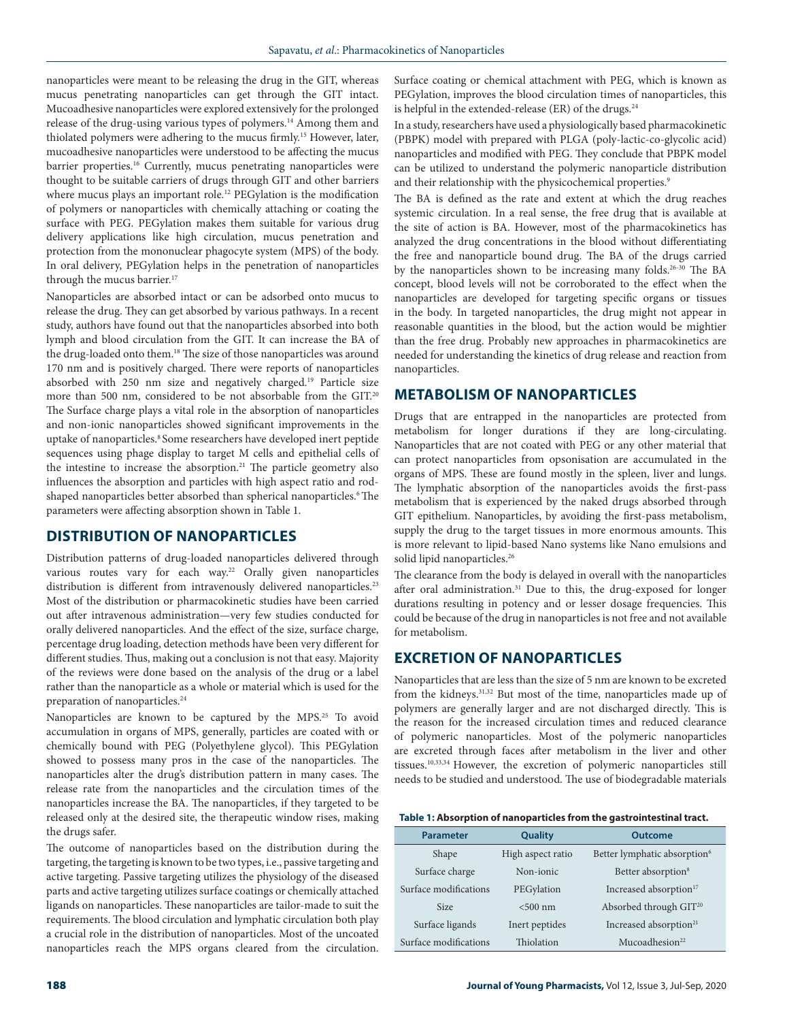nanoparticles were meant to be releasing the drug in the GIT, whereas mucus penetrating nanoparticles can get through the GIT intact. Mucoadhesive nanoparticles were explored extensively for the prolonged release of the drug-using various types of polymers.<sup>14</sup> Among them and thiolated polymers were adhering to the mucus firmly.<sup>15</sup> However, later, mucoadhesive nanoparticles were understood to be affecting the mucus barrier properties.<sup>16</sup> Currently, mucus penetrating nanoparticles were thought to be suitable carriers of drugs through GIT and other barriers where mucus plays an important role.<sup>12</sup> PEGylation is the modification of polymers or nanoparticles with chemically attaching or coating the surface with PEG. PEGylation makes them suitable for various drug delivery applications like high circulation, mucus penetration and protection from the mononuclear phagocyte system (MPS) of the body. In oral delivery, PEGylation helps in the penetration of nanoparticles through the mucus barrier.<sup>17</sup>

Nanoparticles are absorbed intact or can be adsorbed onto mucus to release the drug. They can get absorbed by various pathways. In a recent study, authors have found out that the nanoparticles absorbed into both lymph and blood circulation from the GIT. It can increase the BA of the drug-loaded onto them.<sup>18</sup> The size of those nanoparticles was around 170 nm and is positively charged. There were reports of nanoparticles absorbed with 250 nm size and negatively charged.19 Particle size more than 500 nm, considered to be not absorbable from the GIT.20 The Surface charge plays a vital role in the absorption of nanoparticles and non-ionic nanoparticles showed significant improvements in the uptake of nanoparticles.<sup>8</sup> Some researchers have developed inert peptide sequences using phage display to target M cells and epithelial cells of the intestine to increase the absorption.<sup>21</sup> The particle geometry also influences the absorption and particles with high aspect ratio and rodshaped nanoparticles better absorbed than spherical nanoparticles.<sup>6</sup> The parameters were affecting absorption shown in Table 1.

## **DISTRIBUTION OF NANOPARTICLES**

Distribution patterns of drug-loaded nanoparticles delivered through various routes vary for each way.<sup>22</sup> Orally given nanoparticles distribution is different from intravenously delivered nanoparticles.<sup>23</sup> Most of the distribution or pharmacokinetic studies have been carried out after intravenous administration—very few studies conducted for orally delivered nanoparticles. And the effect of the size, surface charge, percentage drug loading, detection methods have been very different for different studies. Thus, making out a conclusion is not that easy. Majority of the reviews were done based on the analysis of the drug or a label rather than the nanoparticle as a whole or material which is used for the preparation of nanoparticles.<sup>24</sup>

Nanoparticles are known to be captured by the MPS.<sup>25</sup> To avoid accumulation in organs of MPS, generally, particles are coated with or chemically bound with PEG (Polyethylene glycol). This PEGylation showed to possess many pros in the case of the nanoparticles. The nanoparticles alter the drug's distribution pattern in many cases. The release rate from the nanoparticles and the circulation times of the nanoparticles increase the BA. The nanoparticles, if they targeted to be released only at the desired site, the therapeutic window rises, making the drugs safer.

The outcome of nanoparticles based on the distribution during the targeting, the targeting is known to be two types, i.e., passive targeting and active targeting. Passive targeting utilizes the physiology of the diseased parts and active targeting utilizes surface coatings or chemically attached ligands on nanoparticles. These nanoparticles are tailor-made to suit the requirements. The blood circulation and lymphatic circulation both play a crucial role in the distribution of nanoparticles. Most of the uncoated nanoparticles reach the MPS organs cleared from the circulation.

Surface coating or chemical attachment with PEG, which is known as PEGylation, improves the blood circulation times of nanoparticles, this is helpful in the extended-release (ER) of the drugs. $24$ 

In a study, researchers have used a physiologically based pharmacokinetic (PBPK) model with prepared with PLGA (poly-lactic-co-glycolic acid) nanoparticles and modified with PEG. They conclude that PBPK model can be utilized to understand the polymeric nanoparticle distribution and their relationship with the physicochemical properties.<sup>9</sup>

The BA is defined as the rate and extent at which the drug reaches systemic circulation. In a real sense, the free drug that is available at the site of action is BA. However, most of the pharmacokinetics has analyzed the drug concentrations in the blood without differentiating the free and nanoparticle bound drug. The BA of the drugs carried by the nanoparticles shown to be increasing many folds.26-30 The BA concept, blood levels will not be corroborated to the effect when the nanoparticles are developed for targeting specific organs or tissues in the body. In targeted nanoparticles, the drug might not appear in reasonable quantities in the blood, but the action would be mightier than the free drug. Probably new approaches in pharmacokinetics are needed for understanding the kinetics of drug release and reaction from nanoparticles.

#### **METABOLISM OF NANOPARTICLES**

Drugs that are entrapped in the nanoparticles are protected from metabolism for longer durations if they are long-circulating. Nanoparticles that are not coated with PEG or any other material that can protect nanoparticles from opsonisation are accumulated in the organs of MPS. These are found mostly in the spleen, liver and lungs. The lymphatic absorption of the nanoparticles avoids the first-pass metabolism that is experienced by the naked drugs absorbed through GIT epithelium. Nanoparticles, by avoiding the first-pass metabolism, supply the drug to the target tissues in more enormous amounts. This is more relevant to lipid-based Nano systems like Nano emulsions and solid lipid nanoparticles.<sup>26</sup>

The clearance from the body is delayed in overall with the nanoparticles after oral administration.<sup>31</sup> Due to this, the drug-exposed for longer durations resulting in potency and or lesser dosage frequencies. This could be because of the drug in nanoparticles is not free and not available for metabolism.

## **EXCRETION OF NANOPARTICLES**

Nanoparticles that are less than the size of 5 nm are known to be excreted from the kidneys.31,32 But most of the time, nanoparticles made up of polymers are generally larger and are not discharged directly. This is the reason for the increased circulation times and reduced clearance of polymeric nanoparticles. Most of the polymeric nanoparticles are excreted through faces after metabolism in the liver and other tissues.10,33,34 However, the excretion of polymeric nanoparticles still needs to be studied and understood. The use of biodegradable materials

|  |  |  |  | Table 1: Absorption of nanoparticles from the gastrointestinal tract. |  |
|--|--|--|--|-----------------------------------------------------------------------|--|
|--|--|--|--|-----------------------------------------------------------------------|--|

| <b>Parameter</b>      | Quality           | Outcome                                  |  |
|-----------------------|-------------------|------------------------------------------|--|
| Shape                 | High aspect ratio | Better lymphatic absorption <sup>6</sup> |  |
| Surface charge        | Non-jonic         | Better absorption <sup>8</sup>           |  |
| Surface modifications | PEGylation        | Increased absorption <sup>17</sup>       |  |
| <b>Size</b>           | $< 500$ nm        | Absorbed through GIT <sup>20</sup>       |  |
| Surface ligands       | Inert peptides    | Increased absorption <sup>21</sup>       |  |
| Surface modifications | Thiolation        | Mucoadhesion <sup>22</sup>               |  |